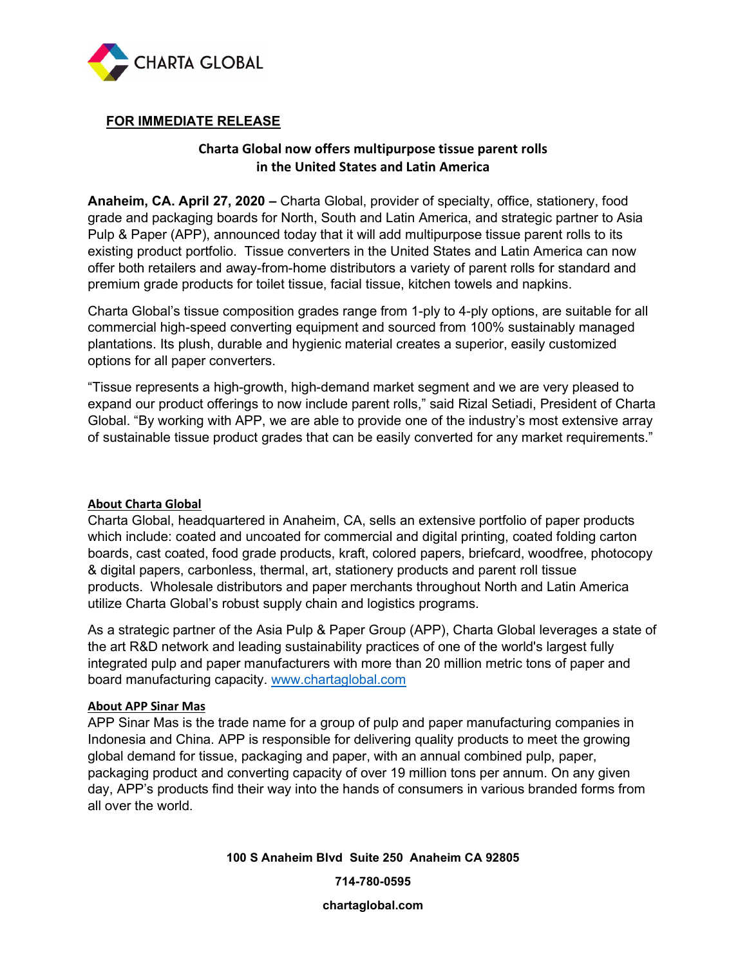

## FOR IMMEDIATE RELEASE

# Charta Global now offers multipurpose tissue parent rolls in the United States and Latin America

Anaheim, CA. April 27, 2020 – Charta Global, provider of specialty, office, stationery, food grade and packaging boards for North, South and Latin America, and strategic partner to Asia Pulp & Paper (APP), announced today that it will add multipurpose tissue parent rolls to its existing product portfolio. Tissue converters in the United States and Latin America can now offer both retailers and away-from-home distributors a variety of parent rolls for standard and premium grade products for toilet tissue, facial tissue, kitchen towels and napkins.

Charta Global's tissue composition grades range from 1-ply to 4-ply options, are suitable for all commercial high-speed converting equipment and sourced from 100% sustainably managed plantations. Its plush, durable and hygienic material creates a superior, easily customized options for all paper converters.

"Tissue represents a high-growth, high-demand market segment and we are very pleased to expand our product offerings to now include parent rolls," said Rizal Setiadi, President of Charta Global. "By working with APP, we are able to provide one of the industry's most extensive array of sustainable tissue product grades that can be easily converted for any market requirements."

#### About Charta Global

Charta Global, headquartered in Anaheim, CA, sells an extensive portfolio of paper products which include: coated and uncoated for commercial and digital printing, coated folding carton boards, cast coated, food grade products, kraft, colored papers, briefcard, woodfree, photocopy & digital papers, carbonless, thermal, art, stationery products and parent roll tissue products. Wholesale distributors and paper merchants throughout North and Latin America utilize Charta Global's robust supply chain and logistics programs.

As a strategic partner of the Asia Pulp & Paper Group (APP), Charta Global leverages a state of the art R&D network and leading sustainability practices of one of the world's largest fully integrated pulp and paper manufacturers with more than 20 million metric tons of paper and board manufacturing capacity. www.chartaglobal.com

#### About APP Sinar Mas

APP Sinar Mas is the trade name for a group of pulp and paper manufacturing companies in Indonesia and China. APP is responsible for delivering quality products to meet the growing global demand for tissue, packaging and paper, with an annual combined pulp, paper, packaging product and converting capacity of over 19 million tons per annum. On any given day, APP's products find their way into the hands of consumers in various branded forms from all over the world.

100 S Anaheim Blvd Suite 250 Anaheim CA 92805

714-780-0595

chartaglobal.com